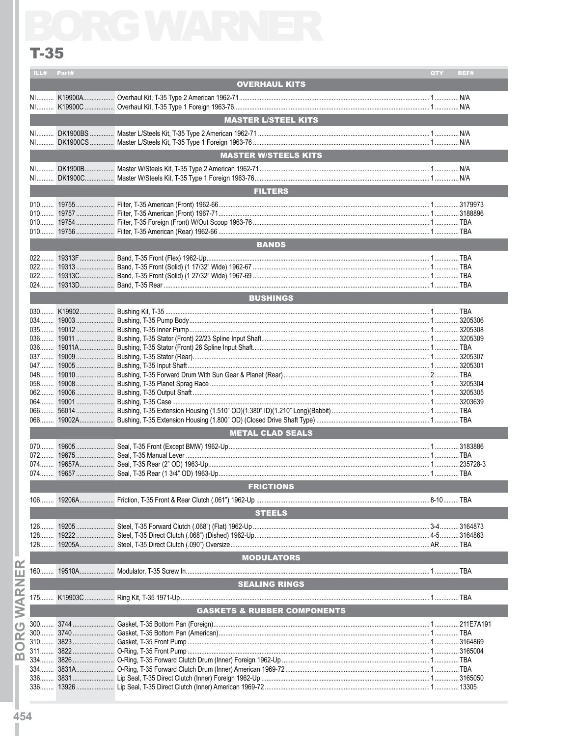## $T-35$

| ILL#                                   | Part# |                             | QTY | REF# |  |  |  |
|----------------------------------------|-------|-----------------------------|-----|------|--|--|--|
|                                        |       | <b>OVERHAUL KITS</b>        |     |      |  |  |  |
| N <sub>1</sub>                         |       |                             |     |      |  |  |  |
| NL                                     |       |                             |     |      |  |  |  |
|                                        |       | <b>MASTER L/STEEL KITS</b>  |     |      |  |  |  |
|                                        |       |                             |     |      |  |  |  |
| NI                                     |       |                             |     |      |  |  |  |
|                                        |       | <b>MASTER W/STEELS KITS</b> |     |      |  |  |  |
|                                        |       |                             |     |      |  |  |  |
| NI DOM                                 |       |                             |     |      |  |  |  |
|                                        |       | <b>FILTERS</b>              |     |      |  |  |  |
| $010$                                  |       |                             |     |      |  |  |  |
| $010$                                  |       |                             |     |      |  |  |  |
| $010$                                  |       |                             |     |      |  |  |  |
|                                        |       |                             |     |      |  |  |  |
| <b>BANDS</b>                           |       |                             |     |      |  |  |  |
|                                        |       |                             |     |      |  |  |  |
| 022                                    |       |                             |     |      |  |  |  |
| $022$                                  |       |                             |     |      |  |  |  |
|                                        |       |                             |     |      |  |  |  |
| <b>BUSHINGS</b>                        |       |                             |     |      |  |  |  |
|                                        |       |                             |     |      |  |  |  |
| $034$                                  |       |                             |     |      |  |  |  |
| $035$                                  |       |                             |     |      |  |  |  |
| $036$                                  |       |                             |     |      |  |  |  |
|                                        |       |                             |     |      |  |  |  |
|                                        |       |                             |     |      |  |  |  |
| 047<br>048                             |       |                             |     |      |  |  |  |
| $058$                                  |       |                             |     |      |  |  |  |
| $062$                                  |       |                             |     |      |  |  |  |
|                                        |       |                             |     |      |  |  |  |
| $066$                                  |       |                             |     |      |  |  |  |
|                                        |       |                             |     |      |  |  |  |
|                                        |       | <b>METAL CLAD SEALS</b>     |     |      |  |  |  |
|                                        |       |                             |     |      |  |  |  |
| $072$                                  |       |                             |     |      |  |  |  |
| $074$                                  |       |                             |     |      |  |  |  |
| 074                                    |       |                             |     |      |  |  |  |
|                                        |       | <b>FRICTIONS</b>            |     |      |  |  |  |
| $106$                                  |       |                             |     |      |  |  |  |
|                                        |       | <b>STEELS</b>               |     |      |  |  |  |
| $126$                                  |       |                             |     |      |  |  |  |
| $128$                                  |       |                             |     |      |  |  |  |
| $128$                                  |       |                             |     |      |  |  |  |
|                                        |       | <b>MODULATORS</b>           |     |      |  |  |  |
|                                        |       |                             |     |      |  |  |  |
|                                        |       | <b>SEALING RINGS</b>        |     |      |  |  |  |
|                                        |       |                             |     |      |  |  |  |
| <b>GASKETS &amp; RUBBER COMPONENTS</b> |       |                             |     |      |  |  |  |
|                                        |       |                             |     |      |  |  |  |
|                                        |       |                             |     |      |  |  |  |
|                                        |       |                             |     |      |  |  |  |
| $311$                                  |       |                             |     |      |  |  |  |
| $334$                                  |       |                             |     |      |  |  |  |
|                                        |       |                             |     |      |  |  |  |
|                                        |       |                             |     |      |  |  |  |
| $336$                                  |       |                             |     |      |  |  |  |